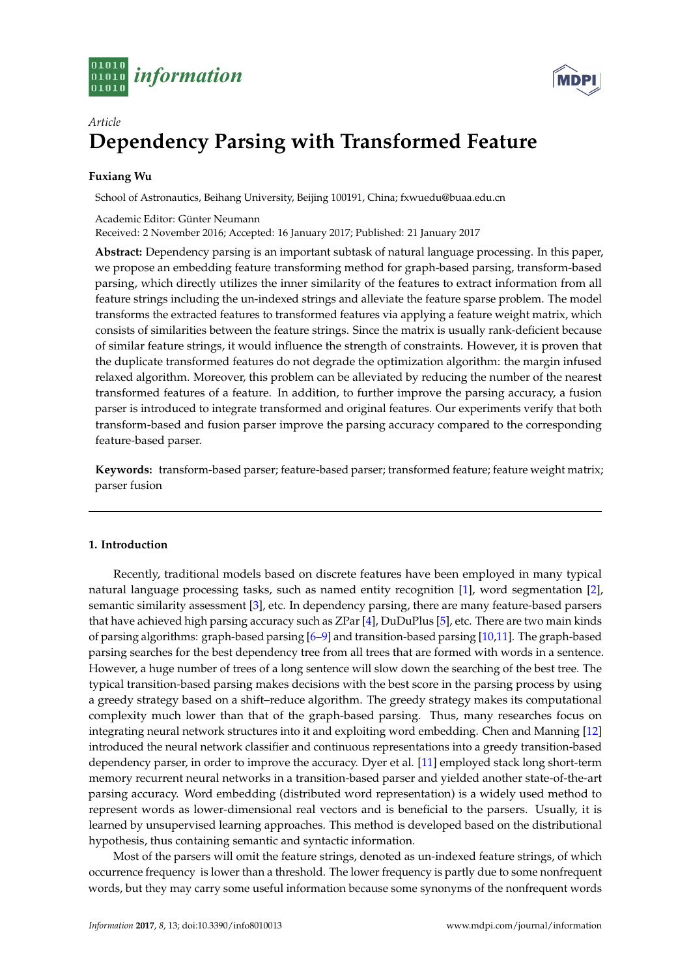



# *Article* **Dependency Parsing with Transformed Feature**

# **Fuxiang Wu**

School of Astronautics, Beihang University, Beijing 100191, China; fxwuedu@buaa.edu.cn

Academic Editor: Günter Neumann Received: 2 November 2016; Accepted: 16 January 2017; Published: 21 January 2017

**Abstract:** Dependency parsing is an important subtask of natural language processing. In this paper, we propose an embedding feature transforming method for graph-based parsing, transform-based parsing, which directly utilizes the inner similarity of the features to extract information from all feature strings including the un-indexed strings and alleviate the feature sparse problem. The model transforms the extracted features to transformed features via applying a feature weight matrix, which consists of similarities between the feature strings. Since the matrix is usually rank-deficient because of similar feature strings, it would influence the strength of constraints. However, it is proven that the duplicate transformed features do not degrade the optimization algorithm: the margin infused relaxed algorithm. Moreover, this problem can be alleviated by reducing the number of the nearest transformed features of a feature. In addition, to further improve the parsing accuracy, a fusion parser is introduced to integrate transformed and original features. Our experiments verify that both transform-based and fusion parser improve the parsing accuracy compared to the corresponding feature-based parser.

**Keywords:** transform-based parser; feature-based parser; transformed feature; feature weight matrix; parser fusion

## **1. Introduction**

Recently, traditional models based on discrete features have been employed in many typical natural language processing tasks, such as named entity recognition [\[1\]](#page-9-0), word segmentation [\[2\]](#page-9-1), semantic similarity assessment [\[3\]](#page-9-2), etc. In dependency parsing, there are many feature-based parsers that have achieved high parsing accuracy such as ZPar [\[4\]](#page-9-3), DuDuPlus [\[5\]](#page-9-4), etc. There are two main kinds of parsing algorithms: graph-based parsing [\[6](#page-9-5)[–9\]](#page-9-6) and transition-based parsing [\[10](#page-9-7)[,11\]](#page-9-8). The graph-based parsing searches for the best dependency tree from all trees that are formed with words in a sentence. However, a huge number of trees of a long sentence will slow down the searching of the best tree. The typical transition-based parsing makes decisions with the best score in the parsing process by using a greedy strategy based on a shift–reduce algorithm. The greedy strategy makes its computational complexity much lower than that of the graph-based parsing. Thus, many researches focus on integrating neural network structures into it and exploiting word embedding. Chen and Manning [\[12\]](#page-9-9) introduced the neural network classifier and continuous representations into a greedy transition-based dependency parser, in order to improve the accuracy. Dyer et al. [\[11\]](#page-9-8) employed stack long short-term memory recurrent neural networks in a transition-based parser and yielded another state-of-the-art parsing accuracy. Word embedding (distributed word representation) is a widely used method to represent words as lower-dimensional real vectors and is beneficial to the parsers. Usually, it is learned by unsupervised learning approaches. This method is developed based on the distributional hypothesis, thus containing semantic and syntactic information.

Most of the parsers will omit the feature strings, denoted as un-indexed feature strings, of which occurrence frequency is lower than a threshold. The lower frequency is partly due to some nonfrequent words, but they may carry some useful information because some synonyms of the nonfrequent words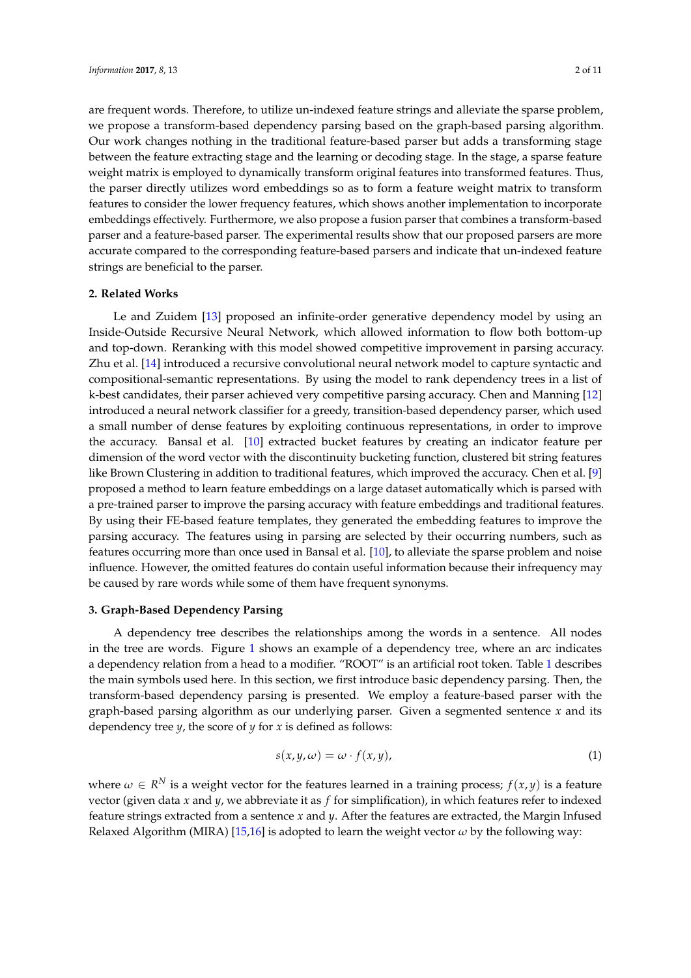are frequent words. Therefore, to utilize un-indexed feature strings and alleviate the sparse problem, we propose a transform-based dependency parsing based on the graph-based parsing algorithm. Our work changes nothing in the traditional feature-based parser but adds a transforming stage between the feature extracting stage and the learning or decoding stage. In the stage, a sparse feature weight matrix is employed to dynamically transform original features into transformed features. Thus, the parser directly utilizes word embeddings so as to form a feature weight matrix to transform features to consider the lower frequency features, which shows another implementation to incorporate embeddings effectively. Furthermore, we also propose a fusion parser that combines a transform-based parser and a feature-based parser. The experimental results show that our proposed parsers are more accurate compared to the corresponding feature-based parsers and indicate that un-indexed feature strings are beneficial to the parser.

## **2. Related Works**

Le and Zuidem [\[13\]](#page-9-10) proposed an infinite-order generative dependency model by using an Inside-Outside Recursive Neural Network, which allowed information to flow both bottom-up and top-down. Reranking with this model showed competitive improvement in parsing accuracy. Zhu et al. [\[14\]](#page-9-11) introduced a recursive convolutional neural network model to capture syntactic and compositional-semantic representations. By using the model to rank dependency trees in a list of k-best candidates, their parser achieved very competitive parsing accuracy. Chen and Manning [\[12\]](#page-9-9) introduced a neural network classifier for a greedy, transition-based dependency parser, which used a small number of dense features by exploiting continuous representations, in order to improve the accuracy. Bansal et al. [\[10\]](#page-9-7) extracted bucket features by creating an indicator feature per dimension of the word vector with the discontinuity bucketing function, clustered bit string features like Brown Clustering in addition to traditional features, which improved the accuracy. Chen et al. [\[9\]](#page-9-6) proposed a method to learn feature embeddings on a large dataset automatically which is parsed with a pre-trained parser to improve the parsing accuracy with feature embeddings and traditional features. By using their FE-based feature templates, they generated the embedding features to improve the parsing accuracy. The features using in parsing are selected by their occurring numbers, such as features occurring more than once used in Bansal et al. [\[10\]](#page-9-7), to alleviate the sparse problem and noise influence. However, the omitted features do contain useful information because their infrequency may be caused by rare words while some of them have frequent synonyms.

## **3. Graph-Based Dependency Parsing**

A dependency tree describes the relationships among the words in a sentence. All nodes in the tree are words. Figure [1](#page-2-0) shows an example of a dependency tree, where an arc indicates a dependency relation from a head to a modifier. "ROOT" is an artificial root token. Table [1](#page-2-1) describes the main symbols used here. In this section, we first introduce basic dependency parsing. Then, the transform-based dependency parsing is presented. We employ a feature-based parser with the graph-based parsing algorithm as our underlying parser. Given a segmented sentence *x* and its dependency tree *y*, the score of *y* for *x* is defined as follows:

<span id="page-1-0"></span>
$$
s(x, y, \omega) = \omega \cdot f(x, y), \tag{1}
$$

where  $\omega \in R^N$  is a weight vector for the features learned in a training process;  $f(x, y)$  is a feature vector (given data *x* and *y*, we abbreviate it as *f* for simplification), in which features refer to indexed feature strings extracted from a sentence *x* and *y*. After the features are extracted, the Margin Infused Relaxed Algorithm (MIRA) [\[15,](#page-10-0)[16\]](#page-10-1) is adopted to learn the weight vector  $\omega$  by the following way: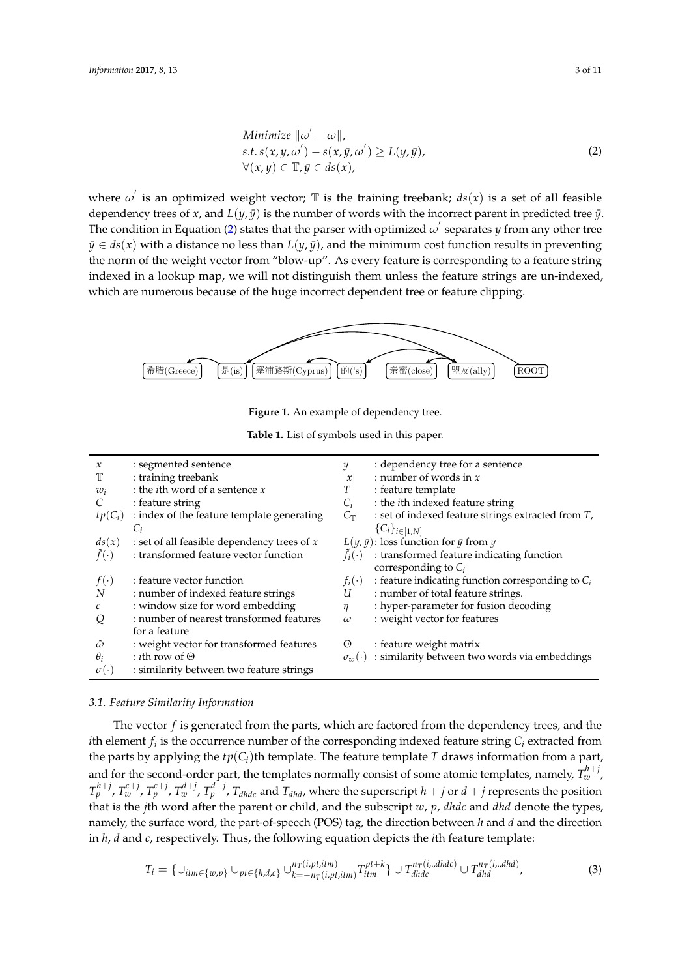<span id="page-2-2"></span>Minimize 
$$
\|\omega' - \omega\|
$$
,  
s.t.  $s(x, y, \omega') - s(x, \bar{y}, \omega') \ge L(y, \bar{y})$ ,  
 $\forall (x, y) \in \mathbb{T}, \bar{y} \in ds(x)$ , (2)

where  $\omega'$  is an optimized weight vector;  $\mathbb T$  is the training treebank;  $ds(x)$  is a set of all feasible dependency trees of *x*, and  $L(\psi, \bar{y})$  is the number of words with the incorrect parent in predicted tree  $\bar{y}$ . The condition in Equation [\(2\)](#page-2-2) states that the parser with optimized  $\omega'$  separates *y* from any other tree  $\bar{y} \in ds(x)$  with a distance no less than  $L(y, \bar{y})$ , and the minimum cost function results in preventing the norm of the weight vector from "blow-up". As every feature is corresponding to a feature string indexed in a lookup map, we will not distinguish them unless the feature strings are un-indexed, which are numerous because of the huge incorrect dependent tree or feature clipping.

<span id="page-2-0"></span>

Figure 1. An example of dependency tree.

**Table 1.** List of symbols used in this paper.

<span id="page-2-1"></span>

| $\mathcal{X}$    | : segmented sentence                          | y                    | : dependency tree for a sentence                      |
|------------------|-----------------------------------------------|----------------------|-------------------------------------------------------|
| Т                | : training treebank                           | $\boldsymbol{\chi}$  | : number of words in $x$                              |
| $w_i$            | : the <i>i</i> th word of a sentence $x$      | Т                    | : feature template                                    |
|                  | : feature string                              | $C_i$                | : the <i>i</i> th indexed feature string              |
| $tp(C_i)$        | : index of the feature template generating    | $C_{\mathbb{T}}$     | : set of indexed feature strings extracted from $T$ , |
|                  | $C_i$                                         |                      | ${C_i}_{i \in [1,N]}$                                 |
| ds(x)            | : set of all feasible dependency trees of $x$ |                      | $L(y, \bar{y})$ : loss function for $\bar{y}$ from y  |
| $f(\cdot)$       | : transformed feature vector function         | $f_i(\cdot)$         | : transformed feature indicating function             |
|                  |                                               |                      | corresponding to $C_i$                                |
| $f(\cdot)$       | : feature vector function                     | $f_i(\cdot)$         | : feature indicating function corresponding to $C_i$  |
| N                | : number of indexed feature strings           | U                    | : number of total feature strings.                    |
| $\mathcal C$     | : window size for word embedding              | $\eta$               | : hyper-parameter for fusion decoding                 |
| Q                | : number of nearest transformed features      | $\omega$             | : weight vector for features                          |
|                  | for a feature                                 |                      |                                                       |
| $\tilde{\omega}$ | : weight vector for transformed features      | Θ                    | : feature weight matrix                               |
| $\theta_i$       | : <i>i</i> th row of $\Theta$                 | $\sigma_{uv}(\cdot)$ | : similarity between two words via embeddings         |
| $\sigma(\cdot)$  | : similarity between two feature strings      |                      |                                                       |

## *3.1. Feature Similarity Information*

The vector *f* is generated from the parts, which are factored from the dependency trees, and the *i*th element  $f_i$  is the occurrence number of the corresponding indexed feature string  $C_i$  extracted from the parts by applying the  $tp(C_i)$ th template. The feature template *T* draws information from a part, and for the second-order part, the templates normally consist of some atomic templates, namely,  $T_w^{h+j}$ ,  $T_p^{h+j}$ ,  $T_w^{c+j}$ ,  $T_p^{c+j}$ ,  $T_w^{d+j}$ ,  $T_q^{d+j}$ ,  $T_{dhdc}$  and  $T_{dhd}$ , where the superscript  $h+j$  or  $d+j$  represents the position that is the *j*th word after the parent or child, and the subscript *w*, *p*, *dhdc* and *dhd* denote the types, namely, the surface word, the part-of-speech (POS) tag, the direction between *h* and *d* and the direction in *h*, *d* and *c*, respectively. Thus, the following equation depicts the *i*th feature template:

$$
T_i = \{ \cup_{itm \in \{w,p\}} \cup_{pt \in \{h,d,c\}} \cup_{k=-n_T(i,pt,itm)}^{n_T(i,pt,itm)} T_{itm}^{pt+k} \} \cup T_{dhdc}^{n_T(i,,dhdc)} \cup T_{dhd}^{n_T(i,,dhd)},
$$
\n(3)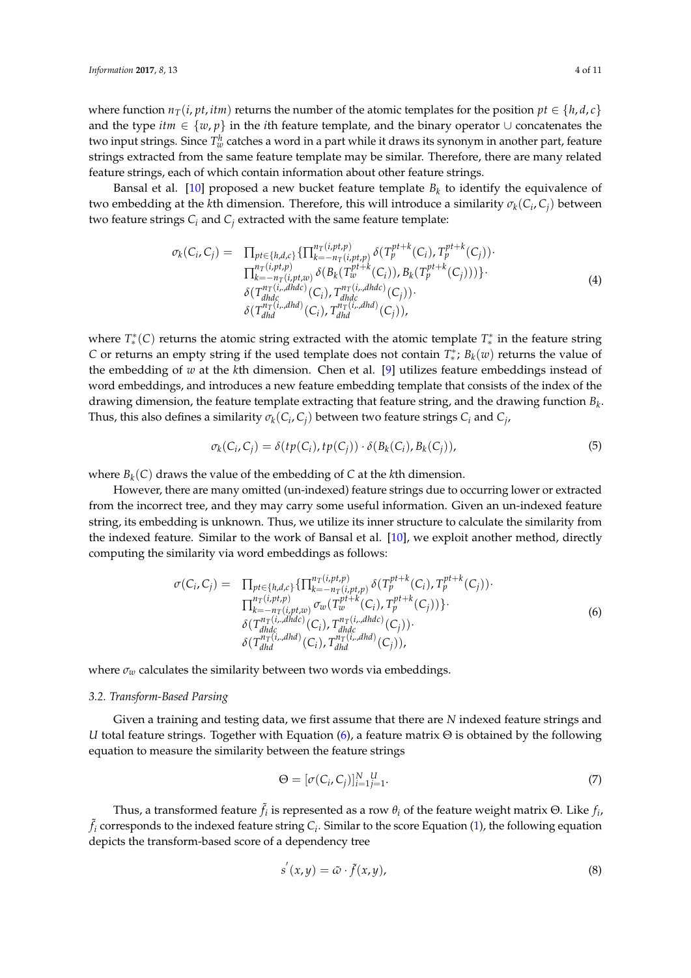where function  $n_T(i, pt, itm)$  returns the number of the atomic templates for the position  $pt \in \{h, d, c\}$ and the type *itm* ∈ {*w*, *p*} in the *i*th feature template, and the binary operator ∪ concatenates the two input strings. Since  $T_w^h$  catches a word in a part while it draws its synonym in another part, feature strings extracted from the same feature template may be similar. Therefore, there are many related feature strings, each of which contain information about other feature strings.

Bansal et al. [\[10\]](#page-9-7) proposed a new bucket feature template *B<sup>k</sup>* to identify the equivalence of two embedding at the *k*th dimension. Therefore, this will introduce a similarity  $\sigma_k(C_i, C_j)$  between two feature strings  $C_i$  and  $C_j$  extracted with the same feature template:

$$
\sigma_{k}(C_{i}, C_{j}) = \prod_{pt \in \{h,d,c\}} \{\prod_{k=-n_{T}(i,pt,p)}^{n_{T}(i,pt,p)} \delta(T_{p}^{pt+k}(C_{i}), T_{p}^{pt+k}(C_{j})) \cdot \prod_{k=-n_{T}(i,pt,p)}^{n_{T}(i,pt,p)} \delta(B_{k}(T_{w}^{pt+k}(C_{i})), B_{k}(T_{p}^{pt+k}(C_{j}))) \} \cdot \delta(T_{dhdc}^{n_{T}(i,dhdc)}(C_{i}), T_{dhdc}^{n_{T}(i,dhdc)}(C_{j})) \cdot \delta(T_{dhdc}^{n_{T}(i,dhdc)}(C_{i}), T_{dhdc}^{n_{T}(i,dhdc)}(C_{j})), \qquad (4)
$$

where  $T^*_{*}(C)$  returns the atomic string extracted with the atomic template  $T^*_{*}$  in the feature string *C* or returns an empty string if the used template does not contain *T* ∗ ∗ ; *B<sup>k</sup>* (*w*) returns the value of the embedding of *w* at the *k*th dimension. Chen et al. [\[9\]](#page-9-6) utilizes feature embeddings instead of word embeddings, and introduces a new feature embedding template that consists of the index of the drawing dimension, the feature template extracting that feature string, and the drawing function *B<sup>k</sup>* . Thus, this also defines a similarity  $\sigma_k(C_i, C_j)$  between two feature strings  $C_i$  and  $C_j$ ,

$$
\sigma_k(C_i, C_j) = \delta(tp(C_i), tp(C_j)) \cdot \delta(B_k(C_i), B_k(C_j)), \tag{5}
$$

where *B<sup>k</sup>* (*C*) draws the value of the embedding of *C* at the *k*th dimension.

However, there are many omitted (un-indexed) feature strings due to occurring lower or extracted from the incorrect tree, and they may carry some useful information. Given an un-indexed feature string, its embedding is unknown. Thus, we utilize its inner structure to calculate the similarity from the indexed feature. Similar to the work of Bansal et al. [\[10\]](#page-9-7), we exploit another method, directly computing the similarity via word embeddings as follows:

<span id="page-3-0"></span>
$$
\sigma(C_i, C_j) = \prod_{pt \in \{h, d, c\}} \{\prod_{k=-n_T(i, pt, p)}^{n_T(i, pt, p)} \delta(T_p^{pt+k}(C_i), T_p^{pt+k}(C_j))\} \cdot \prod_{k=-n_T(i, pt, w)}^{n_T(i, pt, p)} \sigma_w(T_w^{pt+k}(C_i), T_p^{pt+k}(C_j))\} \cdot \delta(T_{dhdc}^{n_T(i, dhdc)}(C_i), T_{dhdc}^{n_T(i, dhdc)}(C_j)) \cdot \delta(T_{dhdc}^{n_T(i, dhdc)}(C_i), T_{dhdc}^{n_T(i, dhdc)}(C_j)), \qquad (6)
$$

where  $\sigma_w$  calculates the similarity between two words via embeddings.

## *3.2. Transform-Based Parsing*

Given a training and testing data, we first assume that there are *N* indexed feature strings and *U* total feature strings. Together with Equation [\(6\)](#page-3-0), a feature matrix Θ is obtained by the following equation to measure the similarity between the feature strings

$$
\Theta = [\sigma(C_i, C_j)]_{i=1}^N \mathcal{L}^U_{j=1}.
$$
\n<sup>(7)</sup>

Thus, a transformed feature  $\tilde{f}_i$  is represented as a row  $\theta_i$  of the feature weight matrix Θ. Like  $f_i$ ,  $\tilde{f}_i$  corresponds to the indexed feature string  $C_i$ . Similar to the score Equation [\(1\)](#page-1-0), the following equation depicts the transform-based score of a dependency tree

$$
s'(x,y) = \tilde{\omega} \cdot \tilde{f}(x,y), \tag{8}
$$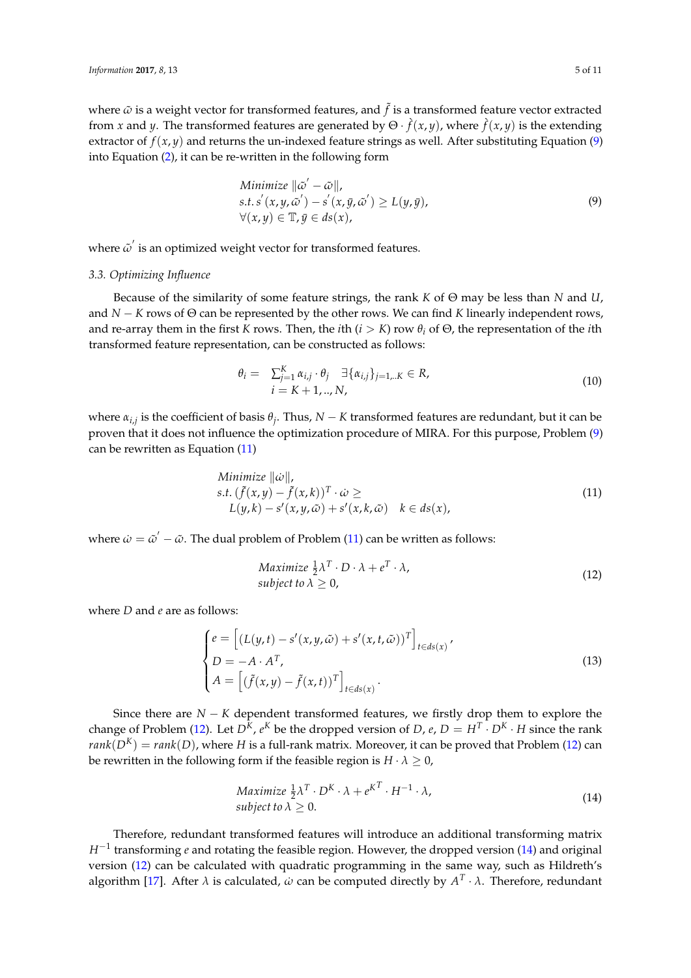where  $\tilde{\omega}$  is a weight vector for transformed features, and  $\tilde{f}$  is a transformed feature vector extracted from *x* and *y*. The transformed features are generated by  $\Theta \cdot \hat{f}(x, y)$ , where  $\hat{f}(x, y)$  is the extending extractor of  $f(x, y)$  and returns the un-indexed feature strings as well. After substituting Equation [\(9\)](#page-4-0) into Equation [\(2\)](#page-2-2), it can be re-written in the following form

<span id="page-4-0"></span>Minimize 
$$
\|\tilde{\omega}' - \tilde{\omega}\|
$$
,  
s.t. s'  $(x, y, \tilde{\omega}') - s'(x, \bar{y}, \tilde{\omega}') \ge L(y, \bar{y})$ ,  
 $\forall (x, y) \in \mathbb{T}, \bar{y} \in ds(x)$ , (9)

where  $\tilde{\omega}'$  is an optimized weight vector for transformed features.

## *3.3. Optimizing Influence*

Because of the similarity of some feature strings, the rank *K* of Θ may be less than *N* and *U*, and *N* − *K* rows of Θ can be represented by the other rows. We can find *K* linearly independent rows, and re-array them in the first *K* rows. Then, the *i*th ( $i > K$ ) row  $\theta_i$  of  $\Theta$ , the representation of the *i*th transformed feature representation, can be constructed as follows:

$$
\theta_{i} = \sum_{j=1}^{K} \alpha_{i,j} \cdot \theta_{j} \quad \exists \{\alpha_{i,j}\}_{j=1...K} \in R, \n i = K + 1, ..., N,
$$
\n(10)

where *αi*,*<sup>j</sup>* is the coefficient of basis *θ<sup>j</sup>* . Thus, *N* − *K* transformed features are redundant, but it can be proven that it does not influence the optimization procedure of MIRA. For this purpose, Problem [\(9\)](#page-4-0) can be rewritten as Equation [\(11\)](#page-4-1)

<span id="page-4-1"></span>Minimize 
$$
\|\dot{\omega}\|
$$
,  
\ns.t.  $(\tilde{f}(x,y) - \tilde{f}(x,k))^T \cdot \dot{\omega} \ge$   
\n $L(y,k) - s'(x,y,\tilde{\omega}) + s'(x,k,\tilde{\omega}) \quad k \in ds(x)$ , (11)

where  $\dot{\omega} = \tilde{\omega}' - \tilde{\omega}$ . The dual problem of Problem [\(11\)](#page-4-1) can be written as follows:

<span id="page-4-2"></span>
$$
\begin{array}{ll}\n\text{Maximize } \frac{1}{2} \lambda^T \cdot D \cdot \lambda + e^T \cdot \lambda, \\
\text{subject to } \lambda \ge 0,\n\end{array} \tag{12}
$$

where *D* and *e* are as follows:

$$
\begin{cases}\ne = \left[ (L(y, t) - s'(x, y, \tilde{\omega}) + s'(x, t, \tilde{\omega}))^T \right]_{t \in ds(x)}', \\
D = -A \cdot A^T, \\
A = \left[ (\tilde{f}(x, y) - \tilde{f}(x, t))^T \right]_{t \in ds(x)}.\n\end{cases}
$$
\n(13)

Since there are *N* − *K* dependent transformed features, we firstly drop them to explore the change of Problem [\(12\)](#page-4-2). Let  $D^K$ ,  $e^K$  be the dropped version of  $D$ ,  $e$ ,  $D = H^T \cdot D^K \cdot H$  since the rank  $rank(D<sup>K</sup>) = rank(D)$ , where *H* is a full-rank matrix. Moreover, it can be proved that Problem [\(12\)](#page-4-2) can be rewritten in the following form if the feasible region is  $H \cdot \lambda \geq 0$ ,

<span id="page-4-3"></span>
$$
\begin{array}{ll}\n\text{Maximize } \frac{1}{2} \lambda^T \cdot D^K \cdot \lambda + e^{K^T} \cdot H^{-1} \cdot \lambda, \\
\text{subject to } \lambda \geq 0. \n\end{array} \tag{14}
$$

Therefore, redundant transformed features will introduce an additional transforming matrix *H*<sup>−1</sup> transforming *e* and rotating the feasible region. However, the dropped version [\(14\)](#page-4-3) and original version [\(12\)](#page-4-2) can be calculated with quadratic programming in the same way, such as Hildreth's algorithm [\[17\]](#page-10-2). After *λ* is calculated, *ω*˙ can be computed directly by *A T* · *λ*. Therefore, redundant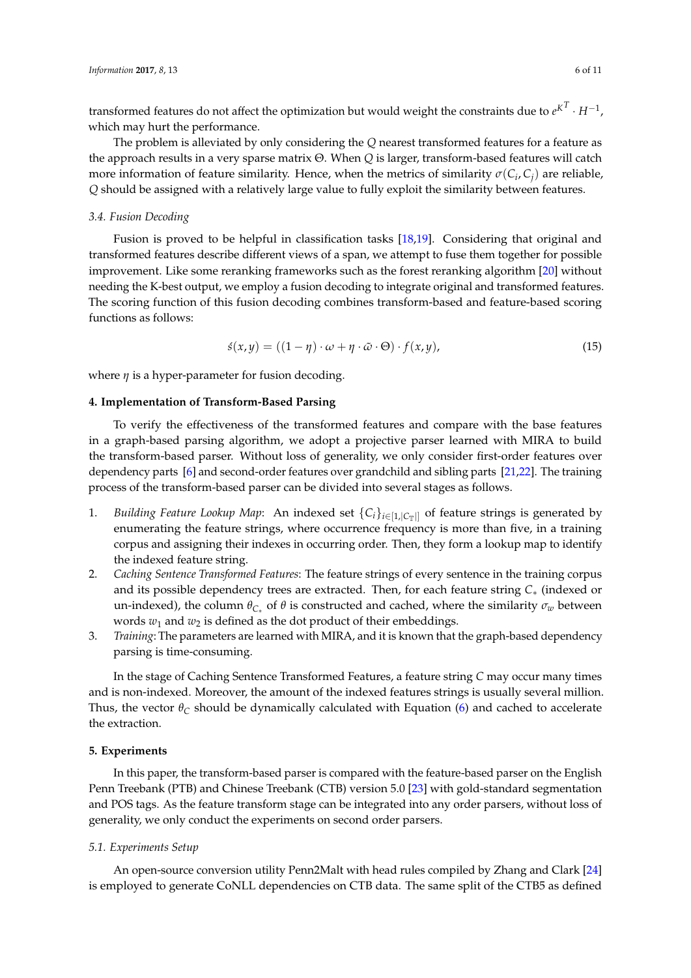transformed features do not affect the optimization but would weight the constraints due to  $e^{K^T} \cdot H^{-1}$ , which may hurt the performance.

The problem is alleviated by only considering the *Q* nearest transformed features for a feature as the approach results in a very sparse matrix Θ. When *Q* is larger, transform-based features will catch more information of feature similarity. Hence, when the metrics of similarity  $\sigma(C_i, C_j)$  are reliable, *Q* should be assigned with a relatively large value to fully exploit the similarity between features.

#### *3.4. Fusion Decoding*

Fusion is proved to be helpful in classification tasks [\[18](#page-10-3)[,19\]](#page-10-4). Considering that original and transformed features describe different views of a span, we attempt to fuse them together for possible improvement. Like some reranking frameworks such as the forest reranking algorithm [\[20\]](#page-10-5) without needing the K-best output, we employ a fusion decoding to integrate original and transformed features. The scoring function of this fusion decoding combines transform-based and feature-based scoring functions as follows:

$$
\acute{s}(x,y) = ((1-\eta)\cdot\omega+\eta\cdot\tilde{\omega}\cdot\Theta)\cdot f(x,y),\tag{15}
$$

where *η* is a hyper-parameter for fusion decoding.

## **4. Implementation of Transform-Based Parsing**

To verify the effectiveness of the transformed features and compare with the base features in a graph-based parsing algorithm, we adopt a projective parser learned with MIRA to build the transform-based parser. Without loss of generality, we only consider first-order features over dependency parts [\[6\]](#page-9-5) and second-order features over grandchild and sibling parts [\[21](#page-10-6)[,22\]](#page-10-7). The training process of the transform-based parser can be divided into several stages as follows.

- 1. *Building Feature Lookup Map*: An indexed set  $\{C_i\}_{i\in[1,|C_T|]}$  of feature strings is generated by enumerating the feature strings, where occurrence frequency is more than five, in a training corpus and assigning their indexes in occurring order. Then, they form a lookup map to identify the indexed feature string.
- 2. *Caching Sentence Transformed Features*: The feature strings of every sentence in the training corpus and its possible dependency trees are extracted. Then, for each feature string *C*∗ (indexed or un-indexed), the column *θC*<sup>∗</sup> of *θ* is constructed and cached, where the similarity *σ<sup>w</sup>* between words  $w_1$  and  $w_2$  is defined as the dot product of their embeddings.
- 3. *Training*: The parameters are learned with MIRA, and it is known that the graph-based dependency parsing is time-consuming.

In the stage of Caching Sentence Transformed Features, a feature string *C* may occur many times and is non-indexed. Moreover, the amount of the indexed features strings is usually several million. Thus, the vector  $\theta_C$  should be dynamically calculated with Equation [\(6\)](#page-3-0) and cached to accelerate the extraction.

## **5. Experiments**

In this paper, the transform-based parser is compared with the feature-based parser on the English Penn Treebank (PTB) and Chinese Treebank (CTB) version 5.0 [\[23\]](#page-10-8) with gold-standard segmentation and POS tags. As the feature transform stage can be integrated into any order parsers, without loss of generality, we only conduct the experiments on second order parsers.

## *5.1. Experiments Setup*

An open-source conversion utility Penn2Malt with head rules compiled by Zhang and Clark [\[24\]](#page-10-9) is employed to generate CoNLL dependencies on CTB data. The same split of the CTB5 as defined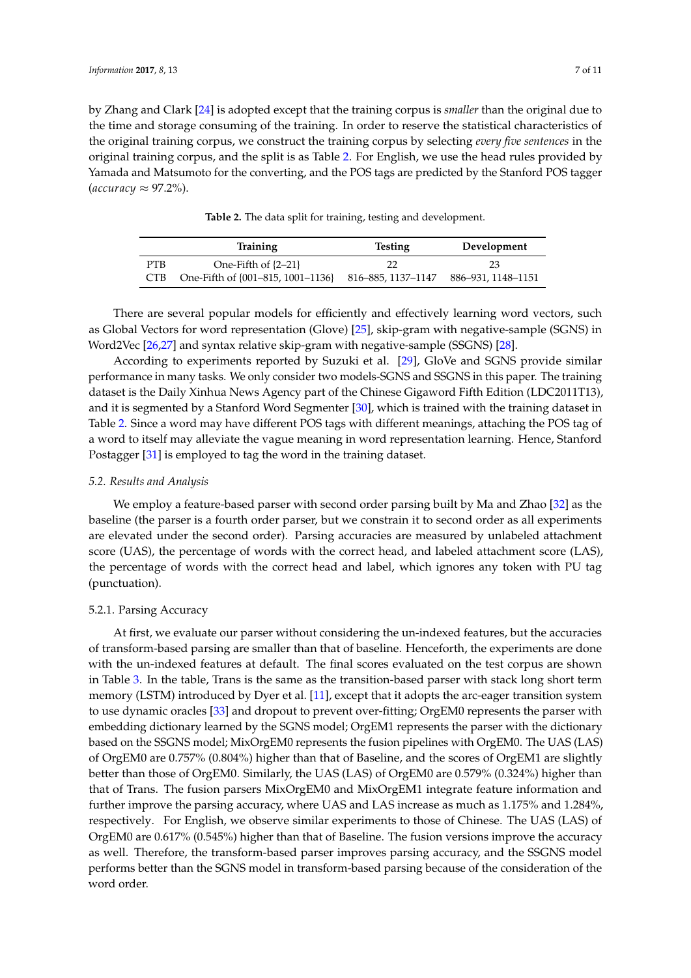by Zhang and Clark [\[24\]](#page-10-9) is adopted except that the training corpus is *smaller* than the original due to the time and storage consuming of the training. In order to reserve the statistical characteristics of the original training corpus, we construct the training corpus by selecting *every five sentences* in the original training corpus, and the split is as Table [2.](#page-6-0) For English, we use the head rules provided by Yamada and Matsumoto for the converting, and the POS tags are predicted by the Stanford POS tagger  $(\text{accuracy} \approx 97.2\%)$ .

**Table 2.** The data split for training, testing and development.

<span id="page-6-0"></span>

|      | Training                          | <b>Testing</b>     | Development        |
|------|-----------------------------------|--------------------|--------------------|
| PTB. | One-Fifth of $\{2-21\}$           |                    | 23                 |
| CTB. | One-Fifth of {001-815, 1001-1136} | 816–885, 1137–1147 | 886-931, 1148-1151 |

There are several popular models for efficiently and effectively learning word vectors, such as Global Vectors for word representation (Glove) [\[25\]](#page-10-10), skip-gram with negative-sample (SGNS) in Word2Vec [\[26](#page-10-11)[,27\]](#page-10-12) and syntax relative skip-gram with negative-sample (SSGNS) [\[28\]](#page-10-13).

According to experiments reported by Suzuki et al. [\[29\]](#page-10-14), GloVe and SGNS provide similar performance in many tasks. We only consider two models-SGNS and SSGNS in this paper. The training dataset is the Daily Xinhua News Agency part of the Chinese Gigaword Fifth Edition (LDC2011T13), and it is segmented by a Stanford Word Segmenter [\[30\]](#page-10-15), which is trained with the training dataset in Table [2.](#page-6-0) Since a word may have different POS tags with different meanings, attaching the POS tag of a word to itself may alleviate the vague meaning in word representation learning. Hence, Stanford Postagger [\[31\]](#page-10-16) is employed to tag the word in the training dataset.

### *5.2. Results and Analysis*

We employ a feature-based parser with second order parsing built by Ma and Zhao [\[32\]](#page-10-17) as the baseline (the parser is a fourth order parser, but we constrain it to second order as all experiments are elevated under the second order). Parsing accuracies are measured by unlabeled attachment score (UAS), the percentage of words with the correct head, and labeled attachment score (LAS), the percentage of words with the correct head and label, which ignores any token with PU tag (punctuation).

#### 5.2.1. Parsing Accuracy

At first, we evaluate our parser without considering the un-indexed features, but the accuracies of transform-based parsing are smaller than that of baseline. Henceforth, the experiments are done with the un-indexed features at default. The final scores evaluated on the test corpus are shown in Table [3.](#page-7-0) In the table, Trans is the same as the transition-based parser with stack long short term memory (LSTM) introduced by Dyer et al. [\[11\]](#page-9-8), except that it adopts the arc-eager transition system to use dynamic oracles [\[33\]](#page-10-18) and dropout to prevent over-fitting; OrgEM0 represents the parser with embedding dictionary learned by the SGNS model; OrgEM1 represents the parser with the dictionary based on the SSGNS model; MixOrgEM0 represents the fusion pipelines with OrgEM0. The UAS (LAS) of OrgEM0 are 0.757% (0.804%) higher than that of Baseline, and the scores of OrgEM1 are slightly better than those of OrgEM0. Similarly, the UAS (LAS) of OrgEM0 are 0.579% (0.324%) higher than that of Trans. The fusion parsers MixOrgEM0 and MixOrgEM1 integrate feature information and further improve the parsing accuracy, where UAS and LAS increase as much as 1.175% and 1.284%, respectively. For English, we observe similar experiments to those of Chinese. The UAS (LAS) of OrgEM0 are 0.617% (0.545%) higher than that of Baseline. The fusion versions improve the accuracy as well. Therefore, the transform-based parser improves parsing accuracy, and the SSGNS model performs better than the SGNS model in transform-based parsing because of the consideration of the word order.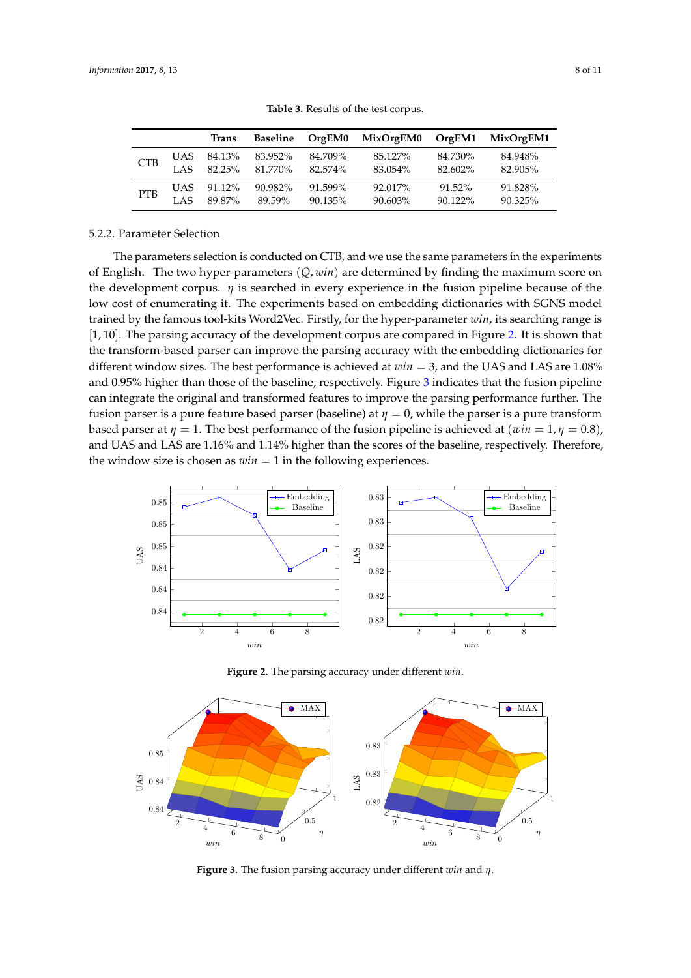<span id="page-7-0"></span>

|            |      | <b>Trans</b>         | Baseline           | OrgEM0                | MixOrgEM0 OrgEM1      |                      | MixOrgEM1             |
|------------|------|----------------------|--------------------|-----------------------|-----------------------|----------------------|-----------------------|
| <b>CTB</b> | LAS. | UAS 84.13%<br>82.25% | 83.952%<br>81.770% | 84.709%<br>82.574%    | 85.127%<br>83.054%    | 84.730%<br>82.602%   | 84.948%<br>82.905%    |
| <b>PTB</b> | LAS  | UAS 91.12%<br>89.87% | 90.982%<br>89.59%  | 91.599%<br>$90.135\%$ | 92.017%<br>$90.603\%$ | 91.52%<br>$90.122\%$ | 91.828%<br>$90.325\%$ |

**Table 3.** Results of the test corpus.

## 5.2.2. Parameter Selection

The parameters selection is conducted on CTB, and we use the same parameters in the experiments of English. The two hyper-parameters (*Q*, *win*) are determined by finding the maximum score on the development corpus.  $\eta$  is searched in every experience in the fusion pipeline because of the low cost of enumerating it. The experiments based on embedding dictionaries with SGNS model trained by the famous tool-kits Word2Vec. Firstly, for the hyper-parameter *win*, its searching range is [1, 10]. The parsing accuracy of the development corpus are compared in Figure [2.](#page-7-1) It is shown that the transform-based parser can improve the parsing accuracy with the embedding dictionaries for different window sizes. The best performance is achieved at *win* = 3, and the UAS and LAS are 1.08% and 0.95% higher than those of the baseline, respectively. Figure [3](#page-7-2) indicates that the fusion pipeline can integrate the original and transformed features to improve the parsing performance further. The fusion parser is a pure feature based parser (baseline) at  $\eta = 0$ , while the parser is a pure transform based parser at  $\eta = 1$ . The best performance of the fusion pipeline is achieved at  $(\omega in = 1, \eta = 0.8)$ , and UAS and LAS are 1.16% and 1.14% higher than the scores of the baseline, respectively. Therefore, the window size is chosen as  $win = 1$  in the following experiences.

<span id="page-7-1"></span>

**Figure 2.** The parsing accuracy under different *win*.

<span id="page-7-2"></span>

**Figure 3.** The fusion parsing accuracy under different *win* and *η*.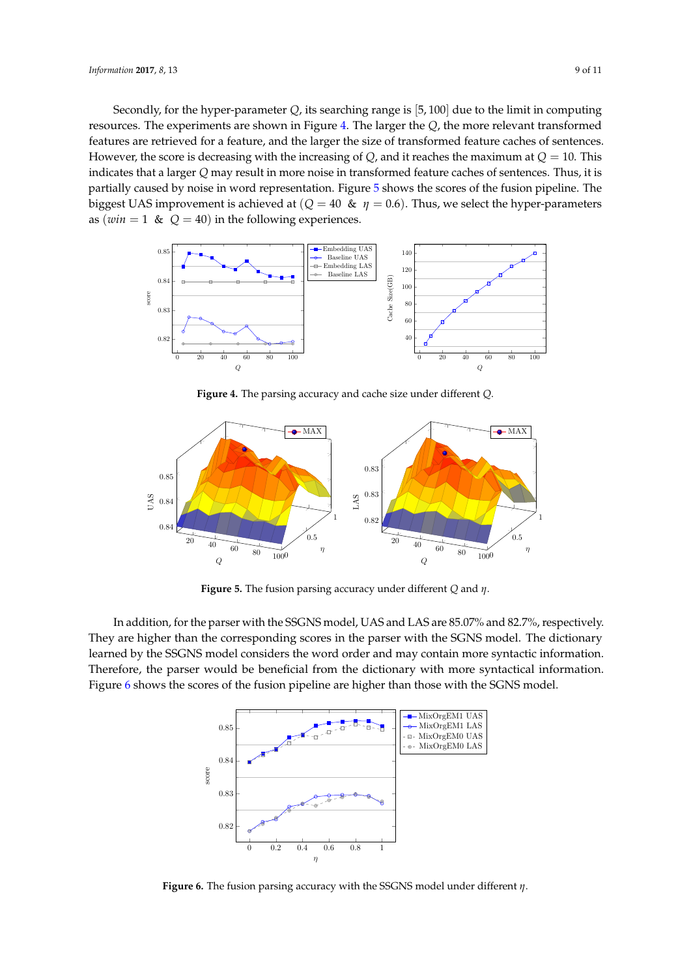Secondly, for the hyper-parameter *Q*, its searching range is [5, 100] due to the limit in computing resources. The experiments are shown in Figure [4.](#page-8-0) The larger the *Q*, the more relevant transformed features are retrieved for a feature, and the larger the size of transformed feature caches of sentences. However, the score is decreasing with the increasing of *Q*, and it reaches the maximum at  $Q = 10$ . This indicates that a larger *Q* may result in more noise in transformed feature caches of sentences. Thus, it is partially caused by noise in word representation. Figure [5](#page-8-1) shows the scores of the fusion pipeline. The biggest UAS improvement is achieved at ( $Q = 40 \& \eta = 0.6$ ). Thus, we select the hyper-parameters as ( $win = 1$  &  $Q = 40$ ) in the following experiences.

<span id="page-8-0"></span>

**Figure 4.** The parsing accuracy and cache size under different *Q*.

<span id="page-8-1"></span>

**Figure 5.** The fusion parsing accuracy under different *Q* and *η*.

<span id="page-8-2"></span>In addition, for the parser with the SSGNS model, UAS and LAS are 85.07% and 82.7%, respectively. They are higher than the corresponding scores in the parser with the SGNS model. The dictionary learned by the SSGNS model considers the word order and may contain more syntactic information. Therefore, the parser would be beneficial from the dictionary with more syntactical information. Figure [6](#page-8-2) shows the scores of the fusion pipeline are higher than those with the SGNS model.



**Figure 6.** The fusion parsing accuracy with the SSGNS model under different *η*.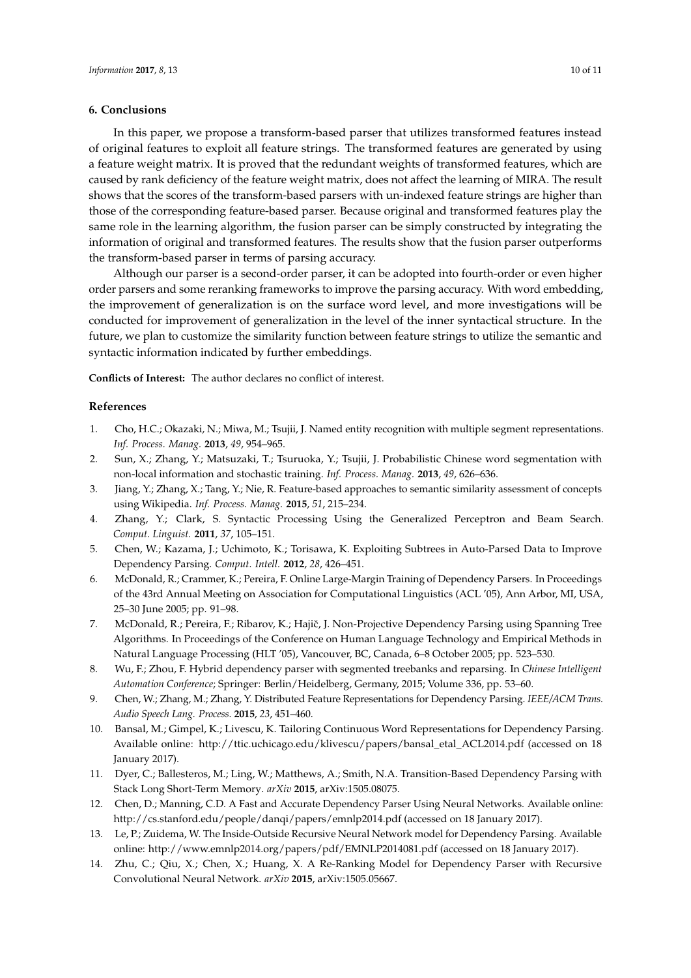## **6. Conclusions**

In this paper, we propose a transform-based parser that utilizes transformed features instead of original features to exploit all feature strings. The transformed features are generated by using a feature weight matrix. It is proved that the redundant weights of transformed features, which are caused by rank deficiency of the feature weight matrix, does not affect the learning of MIRA. The result shows that the scores of the transform-based parsers with un-indexed feature strings are higher than those of the corresponding feature-based parser. Because original and transformed features play the same role in the learning algorithm, the fusion parser can be simply constructed by integrating the information of original and transformed features. The results show that the fusion parser outperforms the transform-based parser in terms of parsing accuracy.

Although our parser is a second-order parser, it can be adopted into fourth-order or even higher order parsers and some reranking frameworks to improve the parsing accuracy. With word embedding, the improvement of generalization is on the surface word level, and more investigations will be conducted for improvement of generalization in the level of the inner syntactical structure. In the future, we plan to customize the similarity function between feature strings to utilize the semantic and syntactic information indicated by further embeddings.

**Conflicts of Interest:** The author declares no conflict of interest.

### **References**

- <span id="page-9-0"></span>1. Cho, H.C.; Okazaki, N.; Miwa, M.; Tsujii, J. Named entity recognition with multiple segment representations. *Inf. Process. Manag.* **2013**, *49*, 954–965.
- <span id="page-9-1"></span>2. Sun, X.; Zhang, Y.; Matsuzaki, T.; Tsuruoka, Y.; Tsujii, J. Probabilistic Chinese word segmentation with non-local information and stochastic training. *Inf. Process. Manag.* **2013**, *49*, 626–636.
- <span id="page-9-2"></span>3. Jiang, Y.; Zhang, X.; Tang, Y.; Nie, R. Feature-based approaches to semantic similarity assessment of concepts using Wikipedia. *Inf. Process. Manag.* **2015**, *51*, 215–234.
- <span id="page-9-3"></span>4. Zhang, Y.; Clark, S. Syntactic Processing Using the Generalized Perceptron and Beam Search. *Comput. Linguist.* **2011**, *37*, 105–151.
- <span id="page-9-4"></span>5. Chen, W.; Kazama, J.; Uchimoto, K.; Torisawa, K. Exploiting Subtrees in Auto-Parsed Data to Improve Dependency Parsing. *Comput. Intell.* **2012**, *28*, 426–451.
- <span id="page-9-5"></span>6. McDonald, R.; Crammer, K.; Pereira, F. Online Large-Margin Training of Dependency Parsers. In Proceedings of the 43rd Annual Meeting on Association for Computational Linguistics (ACL '05), Ann Arbor, MI, USA, 25–30 June 2005; pp. 91–98.
- 7. McDonald, R.; Pereira, F.; Ribarov, K.; Hajič, J. Non-Projective Dependency Parsing using Spanning Tree Algorithms. In Proceedings of the Conference on Human Language Technology and Empirical Methods in Natural Language Processing (HLT '05), Vancouver, BC, Canada, 6–8 October 2005; pp. 523–530.
- 8. Wu, F.; Zhou, F. Hybrid dependency parser with segmented treebanks and reparsing. In *Chinese Intelligent Automation Conference*; Springer: Berlin/Heidelberg, Germany, 2015; Volume 336, pp. 53–60.
- <span id="page-9-6"></span>9. Chen, W.; Zhang, M.; Zhang, Y. Distributed Feature Representations for Dependency Parsing. *IEEE/ACM Trans. Audio Speech Lang. Process.* **2015**, *23*, 451–460.
- <span id="page-9-7"></span>10. Bansal, M.; Gimpel, K.; Livescu, K. Tailoring Continuous Word Representations for Dependency Parsing. Available online: http://ttic.uchicago.edu/klivescu/papers/bansal\_etal\_ACL2014.pdf (accessed on 18 January 2017).
- <span id="page-9-8"></span>11. Dyer, C.; Ballesteros, M.; Ling, W.; Matthews, A.; Smith, N.A. Transition-Based Dependency Parsing with Stack Long Short-Term Memory. *arXiv* **2015**, arXiv:1505.08075.
- <span id="page-9-9"></span>12. Chen, D.; Manning, C.D. A Fast and Accurate Dependency Parser Using Neural Networks. Available online: http://cs.stanford.edu/people/danqi/papers/emnlp2014.pdf (accessed on 18 January 2017).
- <span id="page-9-10"></span>13. Le, P.; Zuidema, W. The Inside-Outside Recursive Neural Network model for Dependency Parsing. Available online: http://www.emnlp2014.org/papers/pdf/EMNLP2014081.pdf (accessed on 18 January 2017).
- <span id="page-9-11"></span>14. Zhu, C.; Qiu, X.; Chen, X.; Huang, X. A Re-Ranking Model for Dependency Parser with Recursive Convolutional Neural Network. *arXiv* **2015**, arXiv:1505.05667.